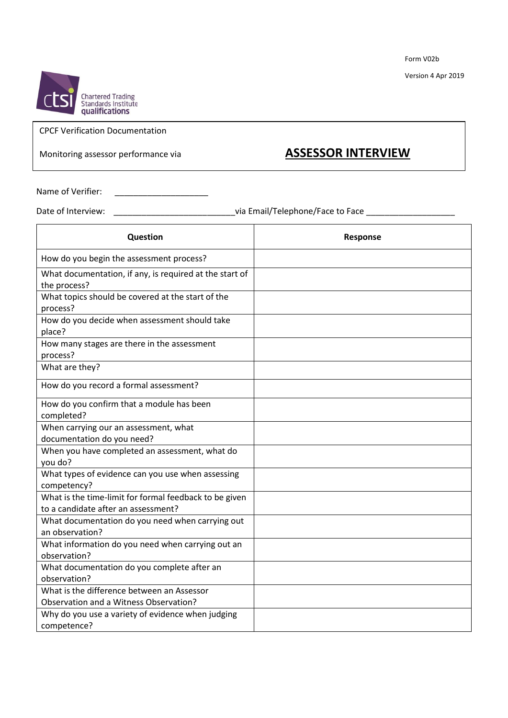Form V02b

Version 4 Apr 2019



## CPCF Verification Documentation

## Monitoring assessor performance via **ASSESSOR INTERVIEW**

Name of Verifier: \_\_\_\_\_\_\_\_\_\_\_\_\_\_\_\_\_\_\_\_

Date of Interview: \_\_\_\_\_\_\_\_\_\_\_\_\_\_\_\_\_\_\_\_\_\_\_\_\_\_\_\_\_\_\_\_\_\_\_via Email/Telephone/Face to Face \_\_\_\_\_\_\_\_\_\_\_\_\_\_\_\_\_\_\_\_\_\_\_

| Question                                                                                      | Response |
|-----------------------------------------------------------------------------------------------|----------|
| How do you begin the assessment process?                                                      |          |
| What documentation, if any, is required at the start of<br>the process?                       |          |
| What topics should be covered at the start of the<br>process?                                 |          |
| How do you decide when assessment should take<br>place?                                       |          |
| How many stages are there in the assessment<br>process?                                       |          |
| What are they?                                                                                |          |
| How do you record a formal assessment?                                                        |          |
| How do you confirm that a module has been<br>completed?                                       |          |
| When carrying our an assessment, what<br>documentation do you need?                           |          |
| When you have completed an assessment, what do<br>you do?                                     |          |
| What types of evidence can you use when assessing<br>competency?                              |          |
| What is the time-limit for formal feedback to be given<br>to a candidate after an assessment? |          |
| What documentation do you need when carrying out<br>an observation?                           |          |
| What information do you need when carrying out an<br>observation?                             |          |
| What documentation do you complete after an<br>observation?                                   |          |
| What is the difference between an Assessor<br>Observation and a Witness Observation?          |          |
| Why do you use a variety of evidence when judging<br>competence?                              |          |